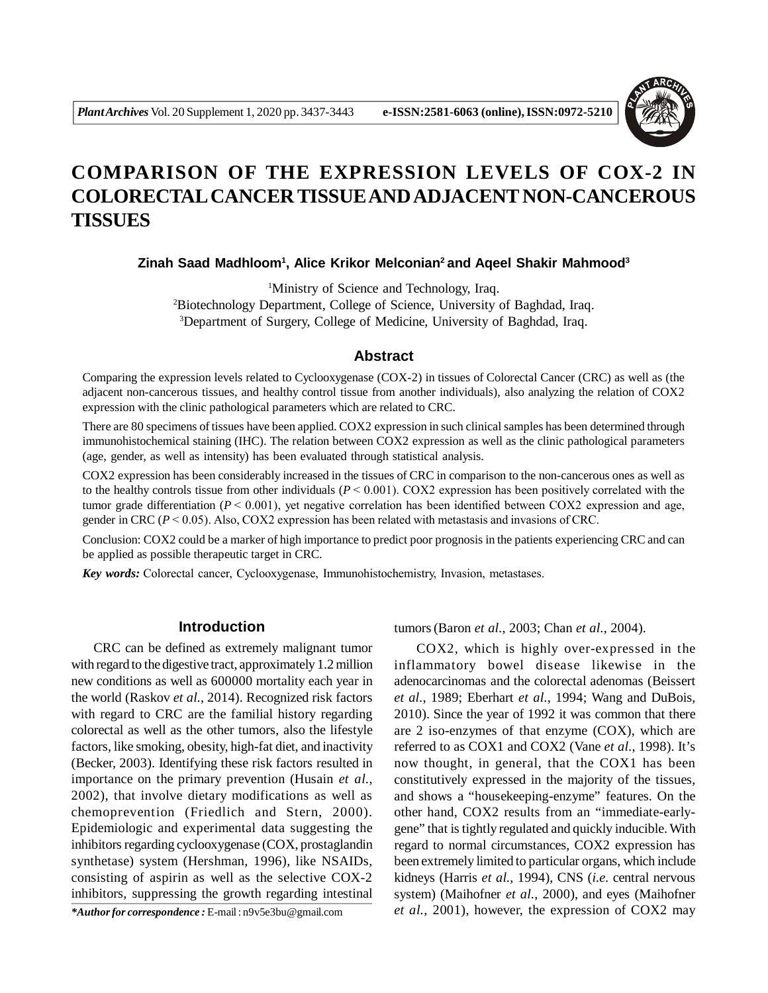

# **COMPARISON OF THE EXPRESSION LEVELS OF COX-2 IN COLORECTAL CANCER TISSUE AND ADJACENT NON-CANCEROUS TISSUES**

**Zinah Saad Madhloom<sup>1</sup> , Alice Krikor Melconian<sup>2</sup>and Aqeel Shakir Mahmood<sup>3</sup>**

<sup>1</sup>Ministry of Science and Technology, Iraq. <sup>2</sup>Biotechnology Department, College of Science, University of Baghdad, Iraq. <sup>3</sup>Department of Surgery, College of Medicine, University of Baghdad, Iraq.

## **Abstract**

Comparing the expression levels related to Cyclooxygenase (COX-2) in tissues of Colorectal Cancer (CRC) as well as (the adjacent non-cancerous tissues, and healthy control tissue from another individuals), also analyzing the relation of COX2 expression with the clinic pathological parameters which are related to CRC.

There are 80 specimens of tissues have been applied. COX2 expression in such clinical samples has been determined through immunohistochemical staining (IHC). The relation between COX2 expression as well as the clinic pathological parameters (age, gender, as well as intensity) has been evaluated through statistical analysis.

COX2 expression has been considerably increased in the tissues of CRC in comparison to the non-cancerous ones as well as to the healthy controls tissue from other individuals (*P* < 0.001). COX2 expression has been positively correlated with the tumor grade differentiation  $(P < 0.001)$ , yet negative correlation has been identified between COX2 expression and age, gender in CRC (*P* < 0.05). Also, COX2 expression has been related with metastasis and invasions of CRC.

Conclusion: COX2 could be a marker of high importance to predict poor prognosis in the patients experiencing CRC and can be applied as possible therapeutic target in CRC.

*Key words:* Colorectal cancer, Cyclooxygenase, Immunohistochemistry, Invasion, metastases.

# **Introduction**

CRC can be defined as extremely malignant tumor with regard to the digestive tract, approximately 1.2 million new conditions as well as 600000 mortality each year in the world (Raskov *et al.*, 2014). Recognized risk factors with regard to CRC are the familial history regarding colorectal as well as the other tumors, also the lifestyle factors, like smoking, obesity, high-fat diet, and inactivity (Becker, 2003). Identifying these risk factors resulted in importance on the primary prevention (Husain *et al.*, 2002), that involve dietary modifications as well as chemoprevention (Friedlich and Stern, 2000). Epidemiologic and experimental data suggesting the inhibitors regarding cyclooxygenase (COX, prostaglandin synthetase) system (Hershman, 1996), like NSAIDs, consisting of aspirin as well as the selective COX-2 inhibitors, suppressing the growth regarding intestinal

*\*Author for correspondence :* E-mail : n9v5e3bu@gmail.com

tumors(Baron *et al.*, 2003; Chan *et al.*, 2004).

COX2, which is highly over-expressed in the inflammatory bowel disease likewise in the adenocarcinomas and the colorectal adenomas (Beissert *et al.*, 1989; Eberhart *et al.*, 1994; Wang and DuBois, 2010). Since the year of 1992 it was common that there are 2 iso-enzymes of that enzyme (COX), which are referred to as COX1 and COX2 (Vane *et al.*, 1998). It's now thought, in general, that the COX1 has been constitutively expressed in the majority of the tissues, and shows a "housekeeping-enzyme" features. On the other hand, COX2 results from an "immediate-earlygene" that is tightly regulated and quickly inducible. With regard to normal circumstances, COX2 expression has been extremely limited to particular organs, which include kidneys (Harris *et al.*, 1994), CNS (*i.e.* central nervous system) (Maihofner *et al.*, 2000), and eyes (Maihofner *et al.*, 2001), however, the expression of COX2 may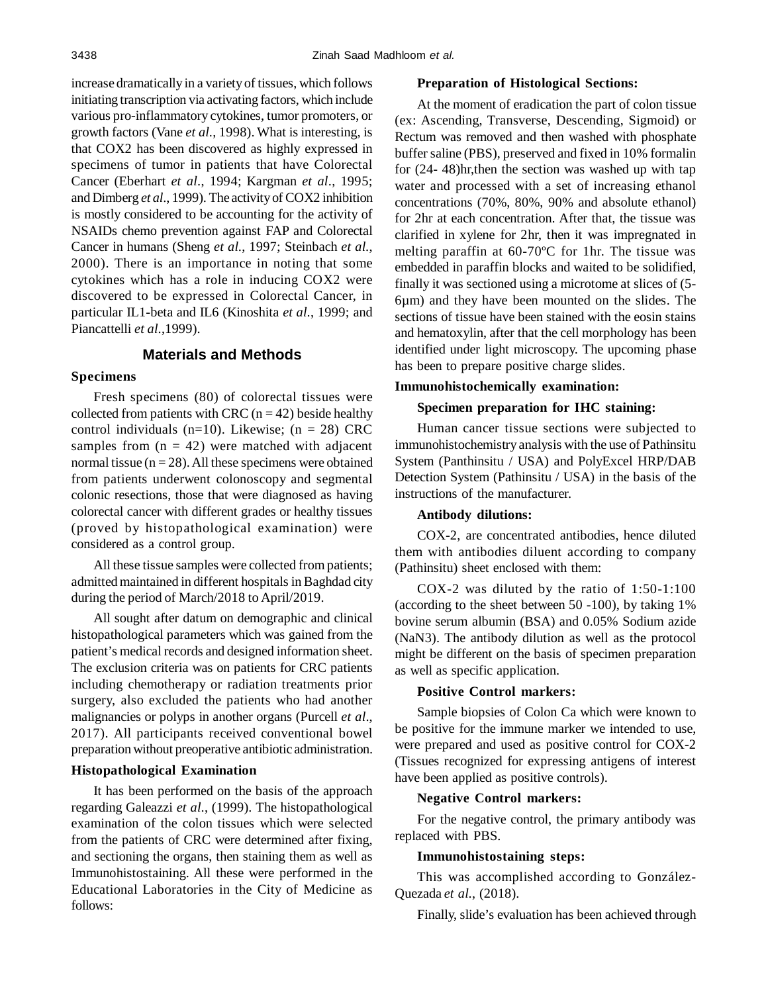increase dramatically in a variety of tissues, which follows initiating transcription via activating factors, which include various pro-inflammatory cytokines, tumor promoters, or growth factors (Vane *et al.*, 1998). What is interesting, is that COX2 has been discovered as highly expressed in specimens of tumor in patients that have Colorectal Cancer (Eberhart *et al.*, 1994; Kargman *et al.*, 1995; and Dimberg *et al.*, 1999). The activity of COX2 inhibition is mostly considered to be accounting for the activity of NSAIDs chemo prevention against FAP and Colorectal Cancer in humans (Sheng *et al.*, 1997; Steinbach *et al.*, 2000). There is an importance in noting that some cytokines which has a role in inducing COX2 were discovered to be expressed in Colorectal Cancer, in particular IL1-beta and IL6 (Kinoshita *et al.*, 1999; and Piancattelli *et al.*,1999).

# **Materials and Methods**

## **Specimens**

Fresh specimens (80) of colorectal tissues were collected from patients with CRC ( $n = 42$ ) beside healthy control individuals (n=10). Likewise; (n = 28) CRC samples from  $(n = 42)$  were matched with adjacent normal tissue  $(n = 28)$ . All these specimens were obtained from patients underwent colonoscopy and segmental colonic resections, those that were diagnosed as having colorectal cancer with different grades or healthy tissues (proved by histopathological examination) were considered as a control group.

All these tissue samples were collected from patients; admitted maintained in different hospitals in Baghdad city during the period of March/2018 to April/2019.

All sought after datum on demographic and clinical histopathological parameters which was gained from the patient's medical records and designed information sheet. The exclusion criteria was on patients for CRC patients including chemotherapy or radiation treatments prior surgery, also excluded the patients who had another malignancies or polyps in another organs (Purcell *et al*., 2017). All participants received conventional bowel preparation without preoperative antibiotic administration.

#### **Histopathological Examination**

It has been performed on the basis of the approach regarding Galeazzi *et al.*, (1999). The histopathological examination of the colon tissues which were selected from the patients of CRC were determined after fixing, and sectioning the organs, then staining them as well as Immunohistostaining. All these were performed in the Educational Laboratories in the City of Medicine as follows:

## **Preparation of Histological Sections:**

At the moment of eradication the part of colon tissue (ex: Ascending, Transverse, Descending, Sigmoid) or Rectum was removed and then washed with phosphate buffer saline (PBS), preserved and fixed in 10% formalin for (24- 48)hr,then the section was washed up with tap water and processed with a set of increasing ethanol concentrations (70%, 80%, 90% and absolute ethanol) for 2hr at each concentration. After that, the tissue was clarified in xylene for 2hr, then it was impregnated in melting paraffin at 60-70ºC for 1hr. The tissue was embedded in paraffin blocks and waited to be solidified, finally it was sectioned using a microtome at slices of (5- 6µm) and they have been mounted on the slides. The sections of tissue have been stained with the eosin stains and hematoxylin, after that the cell morphology has been identified under light microscopy. The upcoming phase has been to prepare positive charge slides.

## **Immunohistochemically examination:**

## **Specimen preparation for IHC staining:**

Human cancer tissue sections were subjected to immunohistochemistry analysis with the use of Pathinsitu System (Panthinsitu / USA) and PolyExcel HRP/DAB Detection System (Pathinsitu / USA) in the basis of the instructions of the manufacturer.

#### **Antibody dilutions:**

COX-2, are concentrated antibodies, hence diluted them with antibodies diluent according to company (Pathinsitu) sheet enclosed with them:

COX-2 was diluted by the ratio of 1:50-1:100 (according to the sheet between 50 -100), by taking 1% bovine serum albumin (BSA) and 0.05% Sodium azide (NaN3). The antibody dilution as well as the protocol might be different on the basis of specimen preparation as well as specific application.

#### **Positive Control markers:**

Sample biopsies of Colon Ca which were known to be positive for the immune marker we intended to use, were prepared and used as positive control for COX-2 (Tissues recognized for expressing antigens of interest have been applied as positive controls).

## **Negative Control markers:**

For the negative control, the primary antibody was replaced with PBS.

#### **Immunohistostaining steps:**

This was accomplished according to González-Quezada *et al.*, (2018).

Finally, slide's evaluation has been achieved through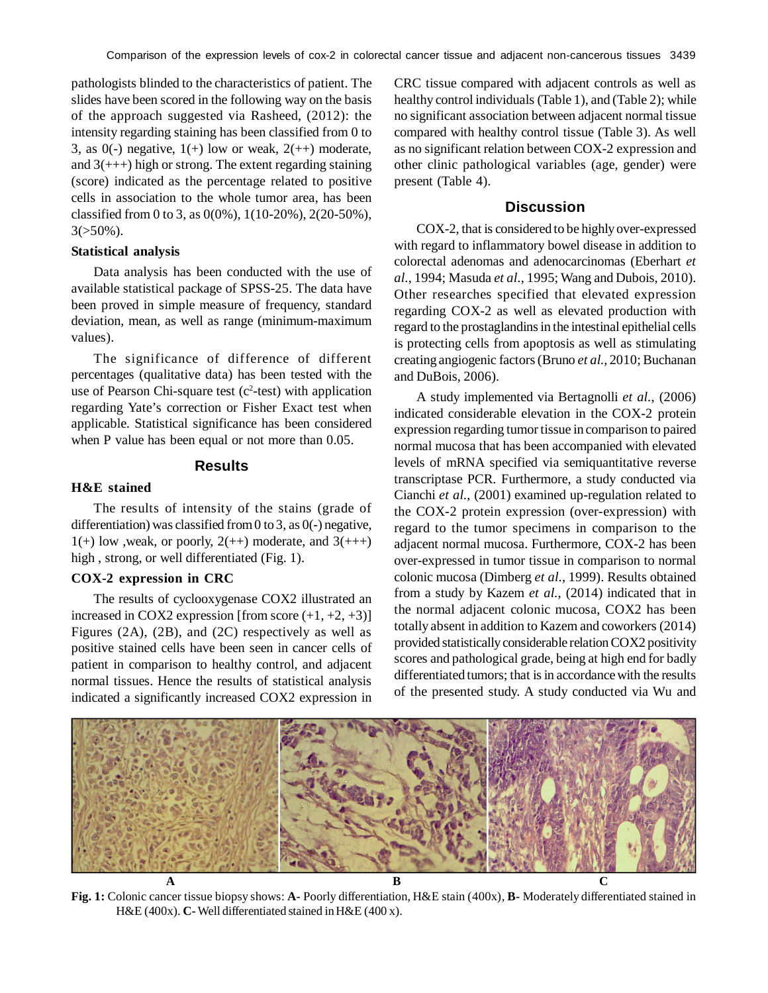pathologists blinded to the characteristics of patient. The slides have been scored in the following way on the basis of the approach suggested via Rasheed, (2012): the intensity regarding staining has been classified from 0 to 3, as  $0(-)$  negative,  $1(+)$  low or weak,  $2(+)$  moderate, and  $3$ (+++) high or strong. The extent regarding staining (score) indicated as the percentage related to positive cells in association to the whole tumor area, has been classified from 0 to 3, as 0(0%), 1(10-20%), 2(20-50%),  $3(>50\%)$ .

#### **Statistical analysis**

Data analysis has been conducted with the use of available statistical package of SPSS-25. The data have been proved in simple measure of frequency, standard deviation, mean, as well as range (minimum-maximum values).

The significance of difference of different percentages (qualitative data) has been tested with the use of Pearson Chi-square test  $(c^2$ -test) with application regarding Yate's correction or Fisher Exact test when applicable. Statistical significance has been considered when P value has been equal or not more than 0.05.

#### **Results**

#### **H&E stained**

The results of intensity of the stains (grade of differentiation) was classified from 0 to 3, as  $0(-)$  negative,  $1(+)$  low , weak, or poorly,  $2(+)$  moderate, and  $3(++)$ high , strong, or well differentiated (Fig. 1).

# **COX-2 expression in CRC**

The results of cyclooxygenase COX2 illustrated an increased in COX2 expression [from score  $(+1, +2, +3)$ ] Figures (2A), (2B), and (2C) respectively as well as positive stained cells have been seen in cancer cells of patient in comparison to healthy control, and adjacent normal tissues. Hence the results of statistical analysis indicated a significantly increased COX2 expression in CRC tissue compared with adjacent controls as well as healthy control individuals (Table 1), and (Table 2); while no significant association between adjacent normal tissue compared with healthy control tissue (Table 3). As well as no significant relation between COX-2 expression and other clinic pathological variables (age, gender) were present (Table 4).

## **Discussion**

COX-2, that is considered to be highly over-expressed with regard to inflammatory bowel disease in addition to colorectal adenomas and adenocarcinomas (Eberhart *et al.*, 1994; Masuda *et al.*, 1995; Wang and Dubois, 2010). Other researches specified that elevated expression regarding COX-2 as well as elevated production with regard to the prostaglandins in the intestinal epithelial cells is protecting cells from apoptosis as well as stimulating creating angiogenic factors (Bruno *et al.*, 2010; Buchanan and DuBois, 2006).

A study implemented via Bertagnolli *et al.*, (2006) indicated considerable elevation in the COX-2 protein expression regarding tumor tissue in comparison to paired normal mucosa that has been accompanied with elevated levels of mRNA specified via semiquantitative reverse transcriptase PCR. Furthermore, a study conducted via Cianchi *et al.*, (2001) examined up-regulation related to the COX-2 protein expression (over-expression) with regard to the tumor specimens in comparison to the adjacent normal mucosa. Furthermore, COX-2 has been over-expressed in tumor tissue in comparison to normal colonic mucosa (Dimberg *et al.*, 1999). Results obtained from a study by Kazem *et al.*, (2014) indicated that in the normal adjacent colonic mucosa, COX2 has been totally absent in addition to Kazem and coworkers (2014) provided statistically considerable relation COX2 positivity scores and pathological grade, being at high end for badly differentiated tumors; that is in accordance with the results of the presented study. A study conducted via Wu and



**Fig. 1:** Colonic cancer tissue biopsy shows: **A-** Poorly differentiation, H&E stain (400x), **B-** Moderately differentiated stained in H&E (400x). **C-** Well differentiated stained in H&E (400 x).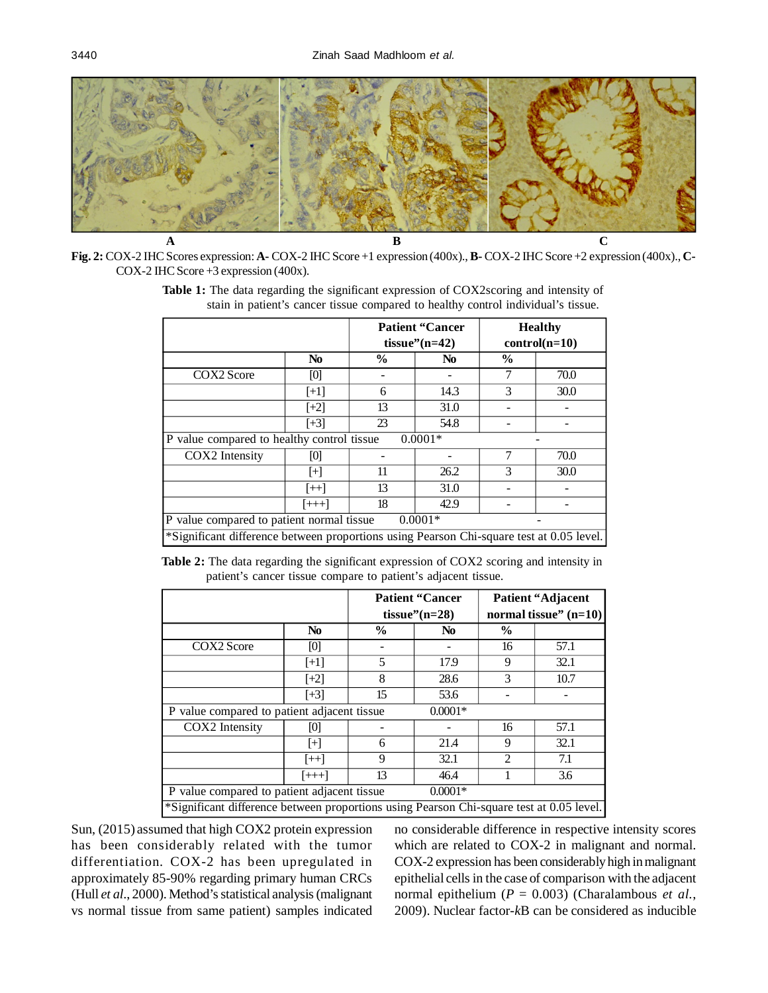

**Fig. 2:** COX-2 IHC Scores expression: **A-** COX-2 IHC Score +1 expression (400x)., **B-** COX-2 IHC Score +2 expression (400x)., **C-**COX-2 IHC Score +3 expression (400x).

**Table 1:** The data regarding the significant expression of COX2scoring and intensity of stain in patient's cancer tissue compared to healthy control individual's tissue.

|                                                                                          |                |               | <b>Patient "Cancer"</b><br>tissue" $(n=42)$ | <b>Healthy</b><br>$control(n=10)$ |      |  |  |  |
|------------------------------------------------------------------------------------------|----------------|---------------|---------------------------------------------|-----------------------------------|------|--|--|--|
|                                                                                          | N <sub>0</sub> | $\frac{6}{9}$ | N <sub>0</sub>                              | $\frac{0}{0}$                     |      |  |  |  |
| COX2 Score                                                                               | [0]            |               |                                             |                                   | 70.0 |  |  |  |
|                                                                                          | $[+1]$         | 6             | 14.3                                        | 3                                 | 30.0 |  |  |  |
|                                                                                          | $[+2]$         | 13            | 31.0                                        |                                   |      |  |  |  |
|                                                                                          | $[+3]$         | 23            | 54.8                                        |                                   |      |  |  |  |
| P value compared to healthy control tissue<br>$0.0001*$                                  |                |               |                                             |                                   |      |  |  |  |
| COX2 Intensity                                                                           | [0]            |               |                                             | 7                                 | 70.0 |  |  |  |
|                                                                                          | $[+]$          | 11            | 26.2                                        | 3                                 | 30.0 |  |  |  |
|                                                                                          | $[++]$         | 13            | 31.0                                        |                                   |      |  |  |  |
|                                                                                          | $[+++]$        | 18            | 42.9                                        |                                   |      |  |  |  |
| P value compared to patient normal tissue<br>$0.0001*$                                   |                |               |                                             |                                   |      |  |  |  |
| *Significant difference between proportions using Pearson Chi-square test at 0.05 level. |                |               |                                             |                                   |      |  |  |  |

**Table 2:** The data regarding the significant expression of COX2 scoring and intensity in patient's cancer tissue compare to patient's adjacent tissue.

|                                                                                          |                |      | <b>Patient "Cancer"</b><br>tissue" $(n=28)$ | Patient "Adjacent"<br>normal tissue" $(n=10)$ |      |  |  |  |
|------------------------------------------------------------------------------------------|----------------|------|---------------------------------------------|-----------------------------------------------|------|--|--|--|
|                                                                                          | N <sub>0</sub> | $\%$ | N <sub>0</sub>                              | $\frac{6}{9}$                                 |      |  |  |  |
| COX2 Score                                                                               | [0]            |      |                                             | 16                                            | 57.1 |  |  |  |
|                                                                                          | $[+1]$         | 5    | 17.9                                        | 9                                             | 32.1 |  |  |  |
|                                                                                          | $[+2]$         | 8    | 28.6                                        | 3                                             | 10.7 |  |  |  |
|                                                                                          | $[+3]$         | 15   | 53.6                                        |                                               |      |  |  |  |
| P value compared to patient adjacent tissue                                              |                |      | $0.0001*$                                   |                                               |      |  |  |  |
| COX2 Intensity                                                                           | [0]            |      |                                             | 16                                            | 57.1 |  |  |  |
|                                                                                          | $[+]$          | 6    | 21.4                                        | 9                                             | 32.1 |  |  |  |
|                                                                                          | $[++]$         | 9    | 32.1                                        | $\mathfrak{D}$                                | 7.1  |  |  |  |
|                                                                                          | $[+++]$        | 13   | 46.4                                        |                                               | 3.6  |  |  |  |
| P value compared to patient adjacent tissue<br>$0.0001*$                                 |                |      |                                             |                                               |      |  |  |  |
| *Significant difference between proportions using Pearson Chi-square test at 0.05 level. |                |      |                                             |                                               |      |  |  |  |

Sun, (2015) assumed that high COX2 protein expression has been considerably related with the tumor differentiation. COX-2 has been upregulated in approximately 85-90% regarding primary human CRCs (Hull *et al.*, 2000). Method's statistical analysis (malignant vs normal tissue from same patient) samples indicated no considerable difference in respective intensity scores which are related to COX-2 in malignant and normal. COX-2 expression has been considerably high in malignant epithelial cells in the case of comparison with the adjacent normal epithelium (*P* = 0.003) (Charalambous *et al.*, 2009). Nuclear factor-*k*B can be considered as inducible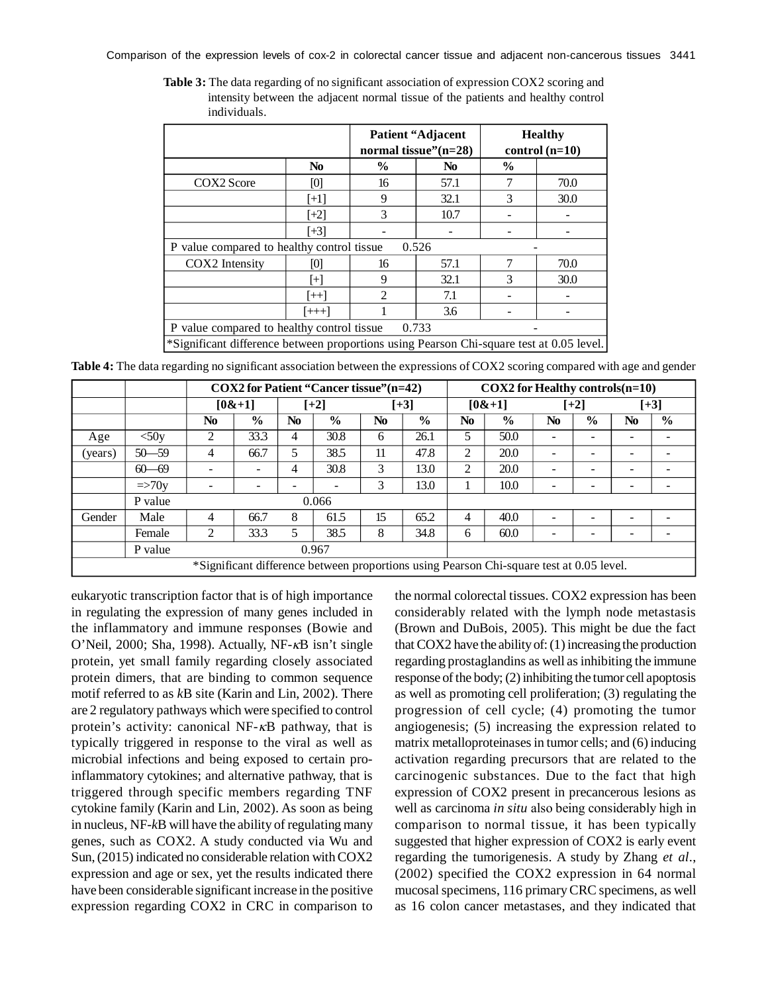Comparison of the expression levels of cox-2 in colorectal cancer tissue and adjacent non-cancerous tissues 3441

|                                                                                          |                |                             | <b>Patient "Adjacent"</b><br>normal tissue" $(n=28)$ | <b>Healthy</b><br>control $(n=10)$ |      |  |  |  |  |  |
|------------------------------------------------------------------------------------------|----------------|-----------------------------|------------------------------------------------------|------------------------------------|------|--|--|--|--|--|
|                                                                                          | N <sub>0</sub> | $\%$                        | N <sub>0</sub>                                       | $\frac{6}{9}$                      |      |  |  |  |  |  |
| COX2 Score                                                                               | [0]            | 16                          | 57.1                                                 | 7                                  | 70.0 |  |  |  |  |  |
|                                                                                          | $[+1]$         | 9                           | 32.1                                                 | 3                                  | 30.0 |  |  |  |  |  |
|                                                                                          | $[+2]$         | 3                           | 10.7                                                 |                                    |      |  |  |  |  |  |
|                                                                                          | $[+3]$         |                             |                                                      |                                    |      |  |  |  |  |  |
| P value compared to healthy control tissue<br>0.526                                      |                |                             |                                                      |                                    |      |  |  |  |  |  |
| COX2 Intensity                                                                           | [0]            | 16                          | 57.1                                                 | 7                                  | 70.0 |  |  |  |  |  |
|                                                                                          | [+]            | 9                           | 32.1                                                 | 3                                  | 30.0 |  |  |  |  |  |
|                                                                                          | $[++]$         | $\mathcal{D}_{\mathcal{L}}$ | 7.1                                                  |                                    |      |  |  |  |  |  |
|                                                                                          | $[+++]$        |                             | 3.6                                                  |                                    |      |  |  |  |  |  |
| 0.733<br>P value compared to healthy control tissue                                      |                |                             |                                                      |                                    |      |  |  |  |  |  |
| *Significant difference between proportions using Pearson Chi-square test at 0.05 level. |                |                             |                                                      |                                    |      |  |  |  |  |  |

**Table 3:** The data regarding of no significant association of expression COX2 scoring and intensity between the adjacent normal tissue of the patients and healthy control individuals.

**Table 4:** The data regarding no significant association between the expressions of COX2 scoring compared with age and gender

|         |                                                                                          | COX2 for Patient "Cancer tissue" (n=42) |                          |                |               |                |               | $COX2$ for Healthy controls $(n=10)$ |               |                |               |                |               |
|---------|------------------------------------------------------------------------------------------|-----------------------------------------|--------------------------|----------------|---------------|----------------|---------------|--------------------------------------|---------------|----------------|---------------|----------------|---------------|
|         |                                                                                          | [0& 1]                                  |                          | $[+2]$         |               | $[+3]$         |               | [0& 1]                               |               | $[+2]$         |               | $[+3]$         |               |
|         |                                                                                          | N <sub>0</sub>                          | $\frac{0}{0}$            | N <sub>0</sub> | $\frac{0}{0}$ | N <sub>0</sub> | $\frac{0}{0}$ | No                                   | $\frac{6}{9}$ | N <sub>0</sub> | $\frac{0}{0}$ | N <sub>0</sub> | $\frac{6}{9}$ |
| Age     | $<$ 50y                                                                                  | 2                                       | 33.3                     | 4              | 30.8          | 6              | 26.1          | 5                                    | 50.0          |                |               |                |               |
| (years) | $50 - 59$                                                                                | 4                                       | 66.7                     | 5              | 38.5          | 11             | 47.8          | $\overline{c}$                       | 20.0          |                | -             |                |               |
|         | $60 - 69$                                                                                |                                         | $\overline{\phantom{0}}$ | 4              | 30.8          | 3              | 13.0          | 2                                    | 20.0          |                | -             |                |               |
|         | $\Rightarrow 70y$                                                                        |                                         | -                        |                |               | 3              | 13.0          |                                      | 10.0          |                | -             |                |               |
|         | P value                                                                                  | 0.066                                   |                          |                |               |                |               |                                      |               |                |               |                |               |
| Gender  | Male                                                                                     | 4                                       | 66.7                     | 8              | 61.5          | 15             | 65.2          | 4                                    | 40.0          |                |               |                |               |
|         | Female                                                                                   | 2                                       | 33.3                     | 5              | 38.5          | 8              | 34.8          | 6                                    | 60.0          |                | -             |                |               |
|         | P value                                                                                  | 0.967                                   |                          |                |               |                |               |                                      |               |                |               |                |               |
|         | *Significant difference between proportions using Pearson Chi-square test at 0.05 level. |                                         |                          |                |               |                |               |                                      |               |                |               |                |               |

eukaryotic transcription factor that is of high importance in regulating the expression of many genes included in the inflammatory and immune responses (Bowie and O'Neil, 2000; Sha, 1998). Actually, NF- $\kappa$ B isn't single protein, yet small family regarding closely associated protein dimers, that are binding to common sequence motif referred to as *k*B site (Karin and Lin, 2002). There are 2 regulatory pathways which were specified to control protein's activity: canonical NF- $\kappa$ B pathway, that is typically triggered in response to the viral as well as microbial infections and being exposed to certain proinflammatory cytokines; and alternative pathway, that is triggered through specific members regarding TNF cytokine family (Karin and Lin, 2002). As soon as being in nucleus, NF-*k*B will have the ability of regulating many genes, such as COX2. A study conducted via Wu and Sun, (2015) indicated no considerable relation with COX2 expression and age or sex, yet the results indicated there have been considerable significant increase in the positive expression regarding COX2 in CRC in comparison to

the normal colorectal tissues. COX2 expression has been considerably related with the lymph node metastasis (Brown and DuBois, 2005). This might be due the fact that COX2 have the ability of: (1) increasing the production regarding prostaglandins as well as inhibiting the immune response of the body; (2) inhibiting the tumor cell apoptosis as well as promoting cell proliferation; (3) regulating the progression of cell cycle; (4) promoting the tumor angiogenesis; (5) increasing the expression related to matrix metalloproteinases in tumor cells; and (6) inducing activation regarding precursors that are related to the carcinogenic substances. Due to the fact that high expression of COX2 present in precancerous lesions as well as carcinoma *in situ* also being considerably high in comparison to normal tissue, it has been typically suggested that higher expression of COX2 is early event regarding the tumorigenesis. A study by Zhang *et al.*, (2002) specified the COX2 expression in 64 normal mucosal specimens, 116 primary CRC specimens, as well as 16 colon cancer metastases, and they indicated that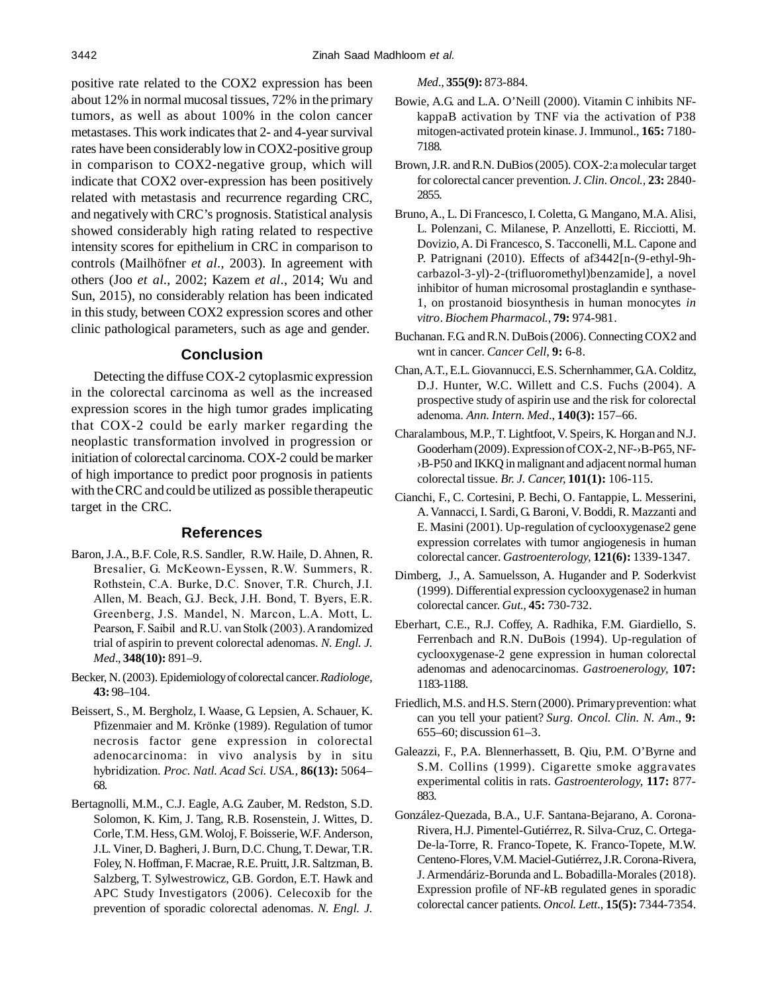positive rate related to the COX2 expression has been about 12% in normal mucosal tissues, 72% in the primary tumors, as well as about 100% in the colon cancer metastases. This work indicates that 2- and 4-year survival rates have been considerably low in COX2-positive group in comparison to COX2-negative group, which will indicate that COX2 over-expression has been positively related with metastasis and recurrence regarding CRC, and negatively with CRC's prognosis. Statistical analysis showed considerably high rating related to respective intensity scores for epithelium in CRC in comparison to controls (Mailhöfner *et al.*, 2003). In agreement with others (Joo *et al.*, 2002; Kazem *et al.*, 2014; Wu and Sun, 2015), no considerably relation has been indicated in this study, between COX2 expression scores and other clinic pathological parameters, such as age and gender.

# **Conclusion**

Detecting the diffuse COX-2 cytoplasmic expression in the colorectal carcinoma as well as the increased expression scores in the high tumor grades implicating that COX-2 could be early marker regarding the neoplastic transformation involved in progression or initiation of colorectal carcinoma. COX-2 could be marker of high importance to predict poor prognosis in patients with the CRC and could be utilized as possible therapeutic target in the CRC.

#### **References**

- Baron, J.A., B.F. Cole, R.S. Sandler, R.W. Haile, D. Ahnen, R. Bresalier, G. McKeown-Eyssen, R.W. Summers, R. Rothstein, C.A. Burke, D.C. Snover, T.R. Church, J.I. Allen, M. Beach, G.J. Beck, J.H. Bond, T. Byers, E.R. Greenberg, J.S. Mandel, N. Marcon, L.A. Mott, L. Pearson, F. Saibil and R.U. van Stolk (2003). A randomized trial of aspirin to prevent colorectal adenomas. *N. Engl. J. Med*., **348(10):** 891–9.
- Becker, N. (2003). Epidemiology of colorectal cancer. *Radiologe,* **43:** 98–104.
- Beissert, S., M. Bergholz, I. Waase, G. Lepsien, A. Schauer, K. Pfizenmaier and M. Krönke (1989). Regulation of tumor necrosis factor gene expression in colorectal adenocarcinoma: in vivo analysis by in situ hybridization. *Proc. Natl. Acad Sci. USA.,* **86(13):** 5064– 68.
- Bertagnolli, M.M., C.J. Eagle, A.G. Zauber, M. Redston, S.D. Solomon, K. Kim, J. Tang, R.B. Rosenstein, J. Wittes, D. Corle, T.M. Hess, G.M. Woloj, F. Boisserie, W.F. Anderson, J.L. Viner, D. Bagheri, J. Burn, D.C. Chung, T. Dewar, T.R. Foley, N. Hoffman, F. Macrae, R.E. Pruitt, J.R. Saltzman, B. Salzberg, T. Sylwestrowicz, G.B. Gordon, E.T. Hawk and APC Study Investigators (2006). Celecoxib for the prevention of sporadic colorectal adenomas. *N. Engl. J.*

*Med.,* **355(9):** 873-884.

- Bowie, A.G. and L.A. O'Neill (2000). Vitamin C inhibits NFkappaB activation by TNF via the activation of P38 mitogen-activated protein kinase. J. Immunol., **165:** 7180- 7188.
- Brown, J.R. and R.N. DuBios (2005). COX-2:a molecular target for colorectal cancer prevention. *J. Clin. Oncol.,* **23:** 2840- 2855.
- Bruno, A., L. Di Francesco, I. Coletta, G. Mangano, M.A. Alisi, L. Polenzani, C. Milanese, P. Anzellotti, E. Ricciotti, M. Dovizio, A. Di Francesco, S. Tacconelli, M.L. Capone and P. Patrignani (2010). Effects of af3442[n-(9-ethyl-9hcarbazol-3-yl)-2-(trifluoromethyl)benzamide], a novel inhibitor of human microsomal prostaglandin e synthase-1, on prostanoid biosynthesis in human monocytes *in vitro*. *Biochem Pharmacol.,* **79:** 974-981.
- Buchanan. F.G. and R.N. DuBois (2006). Connecting COX2 and wnt in cancer. *Cancer Cell,* **9:** 6-8.
- Chan, A.T., E.L. Giovannucci, E.S. Schernhammer, G.A. Colditz, D.J. Hunter, W.C. Willett and C.S. Fuchs (2004). A prospective study of aspirin use and the risk for colorectal adenoma. *Ann. Intern. Med*., **140(3):** 157–66.
- Charalambous, M.P., T. Lightfoot, V. Speirs, K. Horgan and N.J. Gooderham (2009). Expression of COX-2, NF-›B-P65, NF- ›B-P50 and IKKQ in malignant and adjacent normal human colorectal tissue. *Br. J. Cancer,* **101(1):** 106-115.
- Cianchi, F., C. Cortesini, P. Bechi, O. Fantappie, L. Messerini, A. Vannacci, I. Sardi, G. Baroni, V. Boddi, R. Mazzanti and E. Masini (2001). Up-regulation of cyclooxygenase2 gene expression correlates with tumor angiogenesis in human colorectal cancer. *Gastroenterology,* **121(6):** 1339-1347.
- Dimberg, J., A. Samuelsson, A. Hugander and P. Soderkvist (1999). Differential expression cyclooxygenase2 in human colorectal cancer. *Gut.,* **45:** 730-732.
- Eberhart, C.E., R.J. Coffey, A. Radhika, F.M. Giardiello, S. Ferrenbach and R.N. DuBois (1994). Up-regulation of cyclooxygenase-2 gene expression in human colorectal adenomas and adenocarcinomas. *Gastroenerology,* **107:** 1183-1188.
- Friedlich, M.S. and H.S. Stern (2000). Primary prevention: what can you tell your patient? *Surg. Oncol. Clin. N. Am*., **9:** 655–60; discussion 61–3.
- Galeazzi, F., P.A. Blennerhassett, B. Qiu, P.M. O'Byrne and S.M. Collins (1999). Cigarette smoke aggravates experimental colitis in rats. *Gastroenterology,* **117:** 877- 883.
- González-Quezada, B.A., U.F. Santana-Bejarano, A. Corona-Rivera, H.J. Pimentel-Gutiérrez, R. Silva-Cruz, C. Ortega-De-la-Torre, R. Franco-Topete, K. Franco-Topete, M.W. Centeno-Flores, V.M. Maciel-Gutiérrez, J.R. Corona-Rivera, J. Armendáriz-Borunda and L. Bobadilla-Morales (2018). Expression profile of NF-*k*B regulated genes in sporadic colorectal cancer patients. *Oncol. Lett*., **15(5):** 7344-7354.